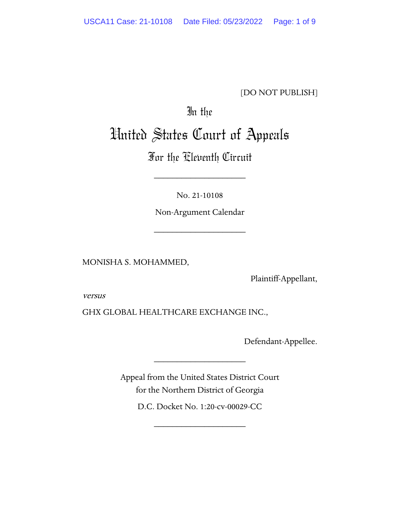[DO NOT PUBLISH]

# In the

# United States Court of Appeals

# For the Eleventh Circuit

\_\_\_\_\_\_\_\_\_\_\_\_\_\_\_\_\_\_\_\_

No. 21-10108

Non-Argument Calendar

\_\_\_\_\_\_\_\_\_\_\_\_\_\_\_\_\_\_\_\_

MONISHA S. MOHAMMED,

Plaintiff-Appellant,

versus

GHX GLOBAL HEALTHCARE EXCHANGE INC.,

Defendant-Appellee.

Appeal from the United States District Court for the Northern District of Georgia

\_\_\_\_\_\_\_\_\_\_\_\_\_\_\_\_\_\_\_\_

D.C. Docket No. 1:20-cv-00029-CC

\_\_\_\_\_\_\_\_\_\_\_\_\_\_\_\_\_\_\_\_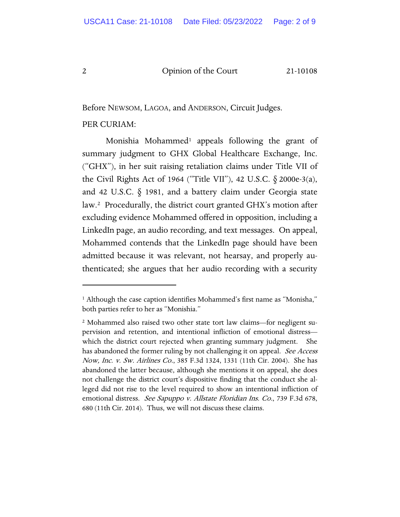Before NEWSOM, LAGOA, and ANDERSON, Circuit Judges.

#### PER CURIAM:

Monishia Mohammed<sup>[1](#page-1-0)</sup> appeals following the grant of summary judgment to GHX Global Healthcare Exchange, Inc. ("GHX"), in her suit raising retaliation claims under Title VII of the Civil Rights Act of 1964 ("Title VII"), 42 U.S.C. § 2000e-3(a), and 42 U.S.C. § 1981, and a battery claim under Georgia state law.[2](#page-1-1) Procedurally, the district court granted GHX's motion after excluding evidence Mohammed offered in opposition, including a LinkedIn page, an audio recording, and text messages. On appeal, Mohammed contends that the LinkedIn page should have been admitted because it was relevant, not hearsay, and properly authenticated; she argues that her audio recording with a security

<span id="page-1-0"></span><sup>&</sup>lt;sup>1</sup> Although the case caption identifies Mohammed's first name as "Monisha," both parties refer to her as "Monishia."

<span id="page-1-1"></span><sup>2</sup> Mohammed also raised two other state tort law claims—for negligent supervision and retention, and intentional infliction of emotional distress which the district court rejected when granting summary judgment. She has abandoned the former ruling by not challenging it on appeal. See Access Now, Inc. v. Sw. Airlines Co., 385 F.3d 1324, 1331 (11th Cir. 2004). She has abandoned the latter because, although she mentions it on appeal, she does not challenge the district court's dispositive finding that the conduct she alleged did not rise to the level required to show an intentional infliction of emotional distress. See Sapuppo v. Allstate Floridian Ins. Co., 739 F.3d 678, 680 (11th Cir. 2014). Thus, we will not discuss these claims.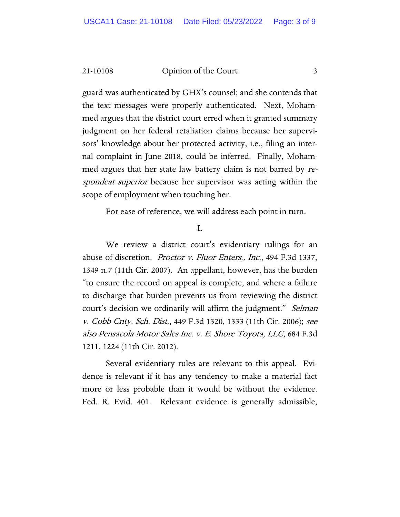guard was authenticated by GHX's counsel; and she contends that the text messages were properly authenticated. Next, Mohammed argues that the district court erred when it granted summary judgment on her federal retaliation claims because her supervisors' knowledge about her protected activity, i.e., filing an internal complaint in June 2018, could be inferred. Finally, Mohammed argues that her state law battery claim is not barred by respondeat superior because her supervisor was acting within the scope of employment when touching her.

For ease of reference, we will address each point in turn.

I.

We review a district court's evidentiary rulings for an abuse of discretion. Proctor v. Fluor Enters., Inc., 494 F.3d 1337, 1349 n.7 (11th Cir. 2007). An appellant, however, has the burden "to ensure the record on appeal is complete, and where a failure to discharge that burden prevents us from reviewing the district court's decision we ordinarily will affirm the judgment." Selman v. Cobb Cnty. Sch. Dist., 449 F.3d 1320, 1333 (11th Cir. 2006); see also Pensacola Motor Sales Inc. v. E. Shore Toyota, LLC, 684 F.3d 1211, 1224 (11th Cir. 2012).

Several evidentiary rules are relevant to this appeal. Evidence is relevant if it has any tendency to make a material fact more or less probable than it would be without the evidence. Fed. R. Evid. 401. Relevant evidence is generally admissible,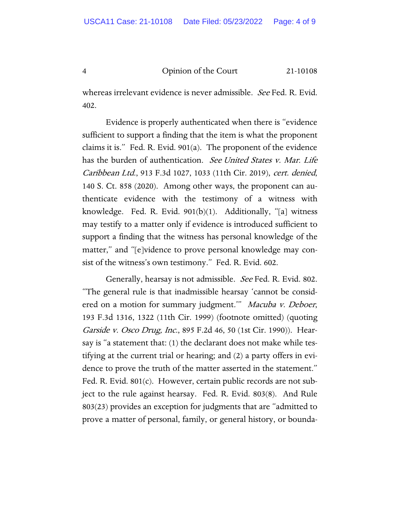whereas irrelevant evidence is never admissible. See Fed. R. Evid. 402.

Evidence is properly authenticated when there is "evidence sufficient to support a finding that the item is what the proponent claims it is." Fed. R. Evid. 901(a). The proponent of the evidence has the burden of authentication. See United States v. Mar. Life Caribbean Ltd., 913 F.3d 1027, 1033 (11th Cir. 2019), cert. denied, 140 S. Ct. 858 (2020). Among other ways, the proponent can authenticate evidence with the testimony of a witness with knowledge. Fed. R. Evid. 901(b)(1). Additionally, "[a] witness may testify to a matter only if evidence is introduced sufficient to support a finding that the witness has personal knowledge of the matter," and "[e]vidence to prove personal knowledge may consist of the witness's own testimony." Fed. R. Evid. 602.

Generally, hearsay is not admissible. See Fed. R. Evid. 802. "The general rule is that inadmissible hearsay 'cannot be considered on a motion for summary judgment." Macuba v. Deboer, 193 F.3d 1316, 1322 (11th Cir. 1999) (footnote omitted) (quoting Garside v. Osco Drug, Inc., 895 F.2d 46, 50 (1st Cir. 1990)). Hearsay is "a statement that: (1) the declarant does not make while testifying at the current trial or hearing; and (2) a party offers in evidence to prove the truth of the matter asserted in the statement." Fed. R. Evid. 801(c). However, certain public records are not subject to the rule against hearsay. Fed. R. Evid. 803(8). And Rule 803(23) provides an exception for judgments that are "admitted to prove a matter of personal, family, or general history, or bounda-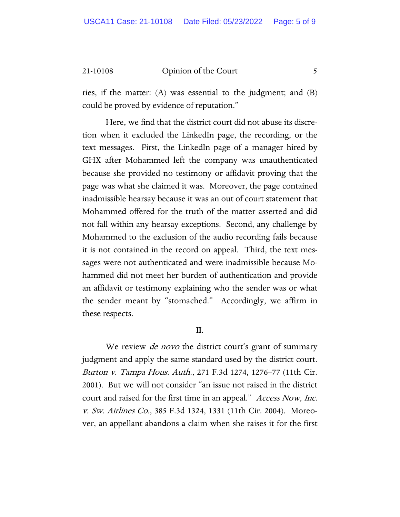ries, if the matter: (A) was essential to the judgment; and (B) could be proved by evidence of reputation."

Here, we find that the district court did not abuse its discretion when it excluded the LinkedIn page, the recording, or the text messages. First, the LinkedIn page of a manager hired by GHX after Mohammed left the company was unauthenticated because she provided no testimony or affidavit proving that the page was what she claimed it was. Moreover, the page contained inadmissible hearsay because it was an out of court statement that Mohammed offered for the truth of the matter asserted and did not fall within any hearsay exceptions. Second, any challenge by Mohammed to the exclusion of the audio recording fails because it is not contained in the record on appeal. Third, the text messages were not authenticated and were inadmissible because Mohammed did not meet her burden of authentication and provide an affidavit or testimony explaining who the sender was or what the sender meant by "stomached." Accordingly, we affirm in these respects.

## II.

We review *de novo* the district court's grant of summary judgment and apply the same standard used by the district court. Burton v. Tampa Hous. Auth., 271 F.3d 1274, 1276–77 (11th Cir. 2001). But we will not consider "an issue not raised in the district court and raised for the first time in an appeal." Access Now, Inc. v. Sw. Airlines Co., 385 F.3d 1324, 1331 (11th Cir. 2004). Moreover, an appellant abandons a claim when she raises it for the first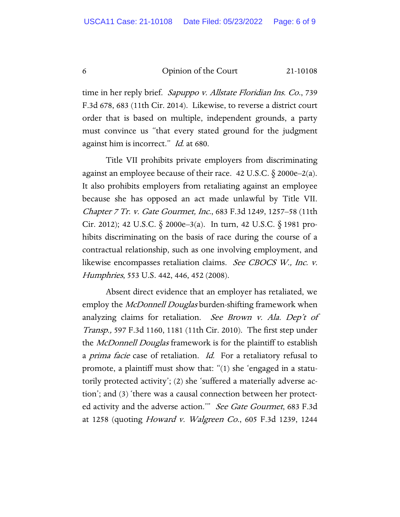time in her reply brief. Sapuppo v. Allstate Floridian Ins. Co., 739 F.3d 678, 683 (11th Cir. 2014). Likewise, to reverse a district court order that is based on multiple, independent grounds, a party must convince us "that every stated ground for the judgment against him is incorrect." *Id.* at 680.

Title VII prohibits private employers from discriminating against an employee because of their race. 42 U.S.C.  $\S$  2000e–2(a). It also prohibits employers from retaliating against an employee because she has opposed an act made unlawful by Title VII. Chapter 7 Tr. v. Gate Gourmet, Inc., 683 F.3d 1249, 1257–58 (11th Cir. 2012); 42 U.S.C. § 2000e–3(a). In turn, 42 U.S.C. § 1981 prohibits discriminating on the basis of race during the course of a contractual relationship, such as one involving employment, and likewise encompasses retaliation claims. See CBOCS W., Inc. v. Humphries, 553 U.S. 442, 446, 452 (2008).

Absent direct evidence that an employer has retaliated, we employ the *McDonnell Douglas* burden-shifting framework when analyzing claims for retaliation. See Brown v. Ala. Dep't of Transp., 597 F.3d 1160, 1181 (11th Cir. 2010). The first step under the *McDonnell Douglas* framework is for the plaintiff to establish a *prima facie* case of retaliation. *Id.* For a retaliatory refusal to promote, a plaintiff must show that: "(1) she 'engaged in a statutorily protected activity'; (2) she 'suffered a materially adverse action'; and (3) 'there was a causal connection between her protected activity and the adverse action." See Gate Gourmet, 683 F.3d at 1258 (quoting *Howard v. Walgreen Co.*, 605 F.3d 1239, 1244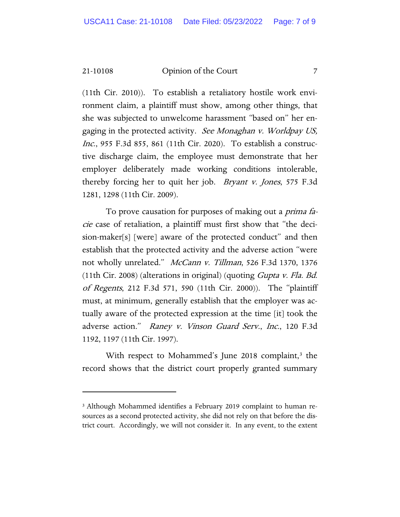(11th Cir. 2010)). To establish a retaliatory hostile work environment claim, a plaintiff must show, among other things, that she was subjected to unwelcome harassment "based on" her engaging in the protected activity. See Monaghan v. Worldpay US, Inc., 955 F.3d 855, 861 (11th Cir. 2020). To establish a constructive discharge claim, the employee must demonstrate that her employer deliberately made working conditions intolerable, thereby forcing her to quit her job. Bryant v. Jones, 575 F.3d 1281, 1298 (11th Cir. 2009).

To prove causation for purposes of making out a *prima fa*cie case of retaliation, a plaintiff must first show that "the decision-maker[s] [were] aware of the protected conduct" and then establish that the protected activity and the adverse action "were not wholly unrelated." McCann v. Tillman, 526 F.3d 1370, 1376 (11th Cir. 2008) (alterations in original) (quoting Gupta v. Fla. Bd. of Regents, 212 F.3d 571, 590 (11th Cir. 2000)). The "plaintiff must, at minimum, generally establish that the employer was actually aware of the protected expression at the time [it] took the adverse action." Raney v. Vinson Guard Serv., Inc., 120 F.3d 1192, 1197 (11th Cir. 1997).

With respect to Mohammed's June 2018 complaint, $3$  the record shows that the district court properly granted summary

<span id="page-6-0"></span><sup>&</sup>lt;sup>3</sup> Although Mohammed identifies a February 2019 complaint to human resources as a second protected activity, she did not rely on that before the district court. Accordingly, we will not consider it. In any event, to the extent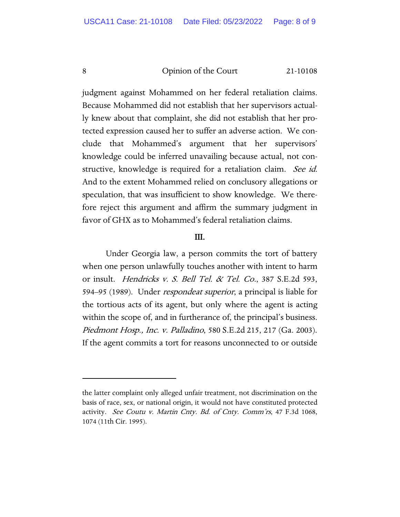judgment against Mohammed on her federal retaliation claims. Because Mohammed did not establish that her supervisors actually knew about that complaint, she did not establish that her protected expression caused her to suffer an adverse action. We conclude that Mohammed's argument that her supervisors' knowledge could be inferred unavailing because actual, not constructive, knowledge is required for a retaliation claim. See id. And to the extent Mohammed relied on conclusory allegations or speculation, that was insufficient to show knowledge. We therefore reject this argument and affirm the summary judgment in favor of GHX as to Mohammed's federal retaliation claims.

## III.

Under Georgia law, a person commits the tort of battery when one person unlawfully touches another with intent to harm or insult. Hendricks v. S. Bell Tel. & Tel. Co., 387 S.E.2d 593, 594–95 (1989). Under respondeat superior, a principal is liable for the tortious acts of its agent, but only where the agent is acting within the scope of, and in furtherance of, the principal's business. Piedmont Hosp., Inc. v. Palladino, 580 S.E.2d 215, 217 (Ga. 2003). If the agent commits a tort for reasons unconnected to or outside

the latter complaint only alleged unfair treatment, not discrimination on the basis of race, sex, or national origin, it would not have constituted protected activity. See Coutu v. Martin Cnty. Bd. of Cnty. Comm'rs, 47 F.3d 1068, 1074 (11th Cir. 1995).